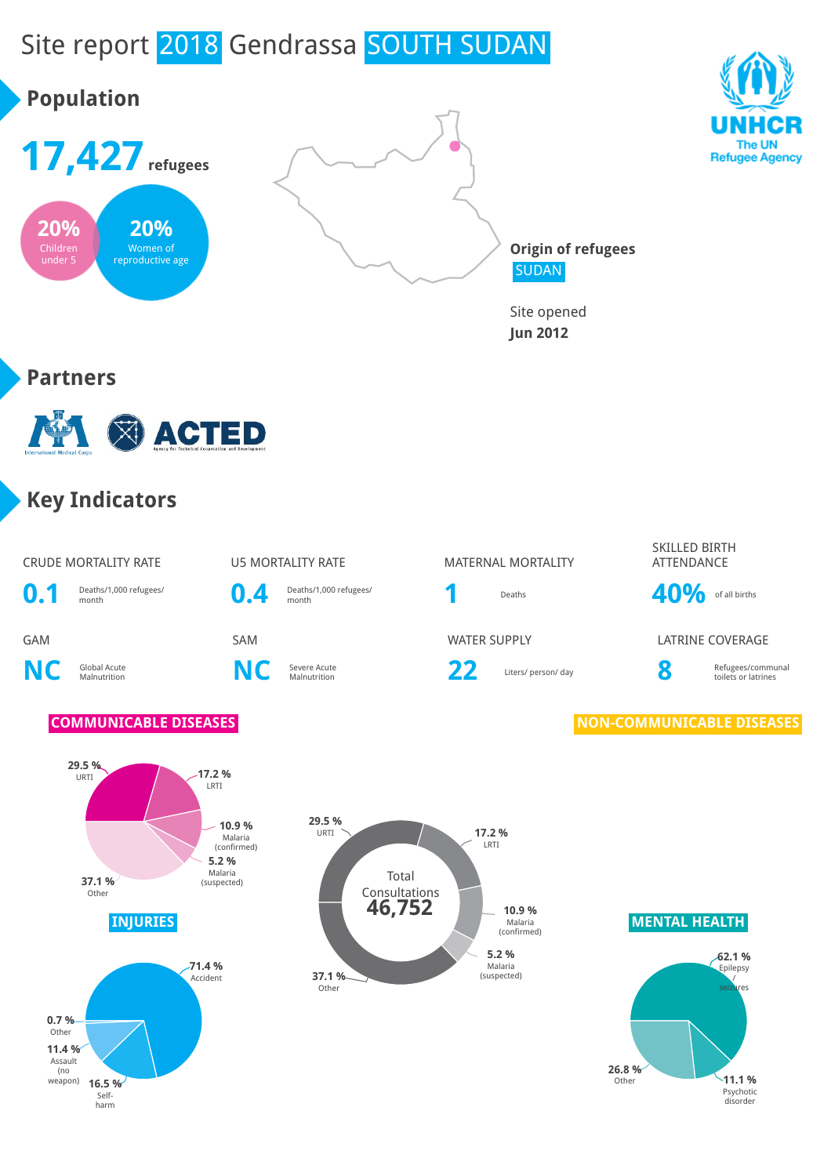# Site report 2018 Gendrassa SOUTH SUDAN

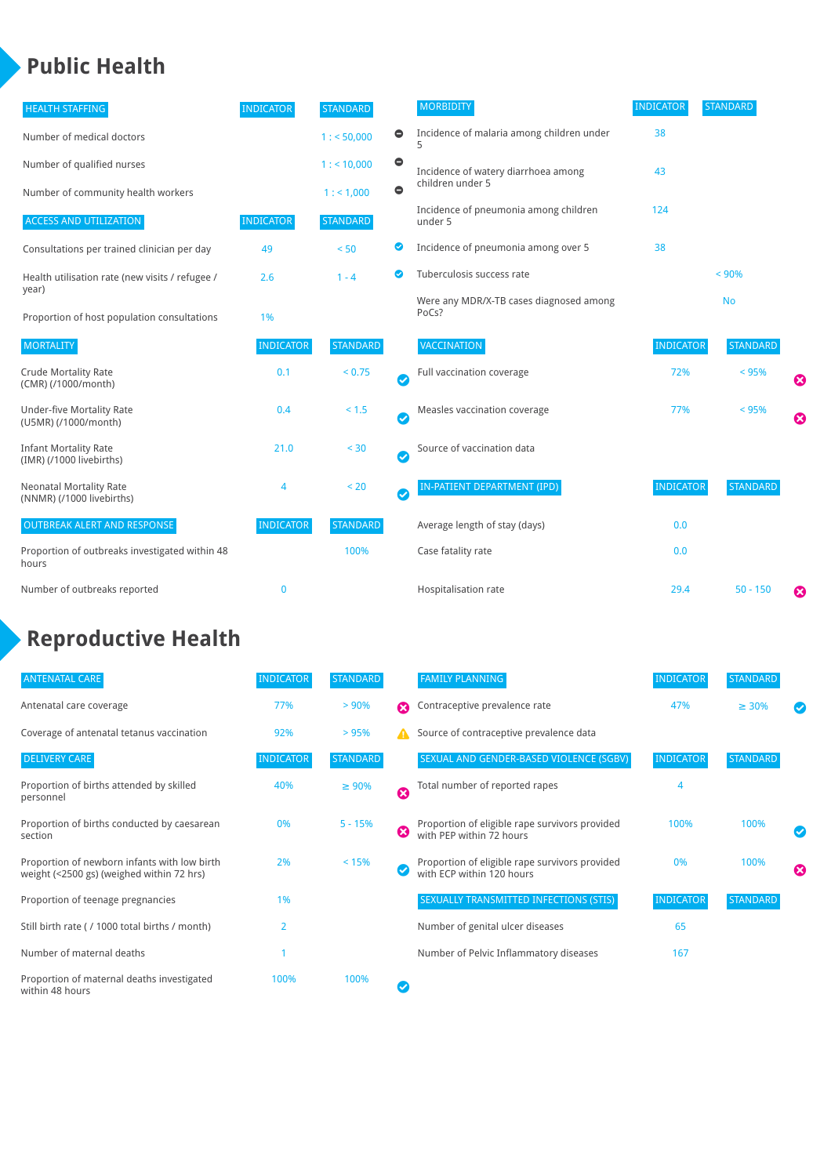#### **Public Health**

| <b>HEALTH STAFFING</b>                                      | <b>INDICATOR</b> | <b>STANDARD</b> |           | <b>MORBIDITY</b>                                 | <b>INDICATOR</b> | <b>STANDARD</b> |   |
|-------------------------------------------------------------|------------------|-----------------|-----------|--------------------------------------------------|------------------|-----------------|---|
| Number of medical doctors                                   |                  | 1: 50,000       | $\bullet$ | Incidence of malaria among children under        | 38               |                 |   |
| Number of qualified nurses                                  |                  | 1:10,000        | $\bullet$ | Incidence of watery diarrhoea among              | 43               |                 |   |
| Number of community health workers                          |                  | 1: 1,000        | $\bullet$ | children under 5                                 |                  |                 |   |
| <b>ACCESS AND UTILIZATION</b>                               | <b>INDICATOR</b> | <b>STANDARD</b> |           | Incidence of pneumonia among children<br>under 5 | 124              |                 |   |
| Consultations per trained clinician per day                 | 49               | < 50            | ◉         | Incidence of pneumonia among over 5              | 38               |                 |   |
| Health utilisation rate (new visits / refugee /             | 2.6              | $1 - 4$         | ◙         | Tuberculosis success rate                        |                  | < 90%           |   |
| year)<br>Proportion of host population consultations        | 1%               |                 |           | Were any MDR/X-TB cases diagnosed among<br>PoCs? |                  | <b>No</b>       |   |
| <b>MORTALITY</b>                                            | <b>INDICATOR</b> | <b>STANDARD</b> |           | VACCINATION                                      | <b>INDICATOR</b> | <b>STANDARD</b> |   |
| <b>Crude Mortality Rate</b><br>(CMR) (/1000/month)          | 0.1              | < 0.75          | Ø         | Full vaccination coverage                        | 72%              | < 95%           | Ø |
| <b>Under-five Mortality Rate</b><br>(U5MR) (/1000/month)    | 0.4              | < 1.5           | Ø         | Measles vaccination coverage                     | 77%              | < 95%           | Ø |
| <b>Infant Mortality Rate</b><br>(IMR) (/1000 livebirths)    | 21.0             | < 30            | Ø         | Source of vaccination data                       |                  |                 |   |
| <b>Neonatal Mortality Rate</b><br>(NNMR) (/1000 livebirths) | 4                | < 20            | $\bullet$ | IN-PATIENT DEPARTMENT (IPD)                      | <b>INDICATOR</b> | <b>STANDARD</b> |   |
| <b>OUTBREAK ALERT AND RESPONSE</b>                          | <b>INDICATOR</b> | <b>STANDARD</b> |           | Average length of stay (days)                    | 0.0              |                 |   |
| Proportion of outbreaks investigated within 48<br>hours     |                  | 100%            |           | Case fatality rate                               | 0.0              |                 |   |
| Number of outbreaks reported                                | $\mathbf{0}$     |                 |           | Hospitalisation rate                             | 29.4             | $50 - 150$      | ೞ |

### **Reproductive Health**

| <b>ANTENATAL CARE</b>                                                                     | <b>INDICATOR</b> | <b>STANDARD</b> |   | <b>FAMILY PLANNING</b>                                                      | <b>INDICATOR</b> | <b>STANDARD</b> |                       |
|-------------------------------------------------------------------------------------------|------------------|-----------------|---|-----------------------------------------------------------------------------|------------------|-----------------|-----------------------|
| Antenatal care coverage                                                                   | 77%              | > 90%           | Ω | Contraceptive prevalence rate                                               | 47%              | $\geq 30\%$     |                       |
| Coverage of antenatal tetanus vaccination                                                 | 92%              | >95%            | А | Source of contraceptive prevalence data                                     |                  |                 |                       |
| <b>DELIVERY CARE</b>                                                                      | <b>INDICATOR</b> | <b>STANDARD</b> |   | SEXUAL AND GENDER-BASED VIOLENCE (SGBV)                                     | <b>INDICATOR</b> | <b>STANDARD</b> |                       |
| Proportion of births attended by skilled<br>personnel                                     | 40%              | $\geq 90\%$     | Ø | Total number of reported rapes                                              | 4                |                 |                       |
| Proportion of births conducted by caesarean<br>section                                    | 0%               | $5 - 15%$       | Ø | Proportion of eligible rape survivors provided<br>with PEP within 72 hours  | 100%             | 100%            |                       |
| Proportion of newborn infants with low birth<br>weight (<2500 gs) (weighed within 72 hrs) | 2%               | < 15%           |   | Proportion of eligible rape survivors provided<br>with ECP within 120 hours | 0%               | 100%            | $\boldsymbol{\Omega}$ |
| Proportion of teenage pregnancies                                                         | 1%               |                 |   | SEXUALLY TRANSMITTED INFECTIONS (STIS)                                      | <b>INDICATOR</b> | <b>STANDARD</b> |                       |
| Still birth rate ( / 1000 total births / month)                                           | $\overline{2}$   |                 |   | Number of genital ulcer diseases                                            | 65               |                 |                       |
| Number of maternal deaths                                                                 |                  |                 |   | Number of Pelvic Inflammatory diseases                                      | 167              |                 |                       |
| Proportion of maternal deaths investigated<br>within 48 hours                             | 100%             | 100%            |   |                                                                             |                  |                 |                       |